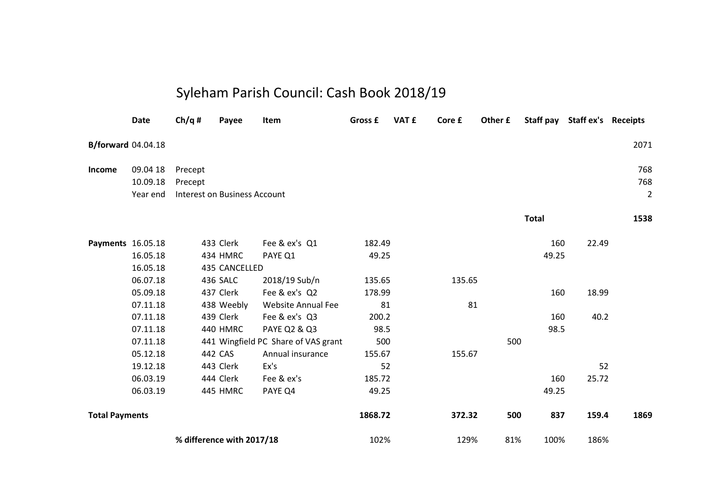## Syleham Parish Council: Cash Book 2018/19

|                           | <b>Date</b> | Ch/q#   | Payee                               | Item                                | Gross £ | VAT £ | Core £ | Other £ |              | Staff pay Staff ex's Receipts |                |
|---------------------------|-------------|---------|-------------------------------------|-------------------------------------|---------|-------|--------|---------|--------------|-------------------------------|----------------|
| <b>B/forward</b> 04.04.18 |             |         |                                     |                                     |         |       |        |         |              |                               | 2071           |
| Income                    | 09.04 18    | Precept |                                     |                                     |         |       |        |         |              |                               | 768            |
|                           | 10.09.18    | Precept |                                     |                                     |         |       |        |         |              |                               | 768            |
|                           | Year end    |         | <b>Interest on Business Account</b> |                                     |         |       |        |         |              |                               | $\overline{2}$ |
|                           |             |         |                                     |                                     |         |       |        |         | <b>Total</b> |                               | 1538           |
| Payments 16.05.18         |             |         | 433 Clerk                           | Fee & ex's Q1                       | 182.49  |       |        |         | 160          | 22.49                         |                |
|                           | 16.05.18    |         | 434 HMRC                            | PAYE Q1                             | 49.25   |       |        |         | 49.25        |                               |                |
|                           | 16.05.18    |         | 435 CANCELLED                       |                                     |         |       |        |         |              |                               |                |
|                           | 06.07.18    |         | 436 SALC                            | 2018/19 Sub/n                       | 135.65  |       | 135.65 |         |              |                               |                |
|                           | 05.09.18    |         | 437 Clerk                           | Fee & ex's Q2                       | 178.99  |       |        |         | 160          | 18.99                         |                |
|                           | 07.11.18    |         | 438 Weebly                          | <b>Website Annual Fee</b>           | 81      |       | 81     |         |              |                               |                |
|                           | 07.11.18    |         | 439 Clerk                           | Fee & ex's Q3                       | 200.2   |       |        |         | 160          | 40.2                          |                |
|                           | 07.11.18    |         | 440 HMRC                            | <b>PAYE Q2 &amp; Q3</b>             | 98.5    |       |        |         | 98.5         |                               |                |
|                           | 07.11.18    |         |                                     | 441 Wingfield PC Share of VAS grant | 500     |       |        | 500     |              |                               |                |
|                           | 05.12.18    |         | 442 CAS                             | Annual insurance                    | 155.67  |       | 155.67 |         |              |                               |                |
|                           | 19.12.18    |         | 443 Clerk                           | Ex's                                | 52      |       |        |         |              | 52                            |                |
|                           | 06.03.19    |         | 444 Clerk                           | Fee & ex's                          | 185.72  |       |        |         | 160          | 25.72                         |                |
|                           | 06.03.19    |         | 445 HMRC                            | PAYE Q4                             | 49.25   |       |        |         | 49.25        |                               |                |
| <b>Total Payments</b>     |             |         |                                     |                                     | 1868.72 |       | 372.32 | 500     | 837          | 159.4                         | 1869           |
| % difference with 2017/18 |             |         |                                     | 102%                                |         | 129%  | 81%    | 100%    | 186%         |                               |                |